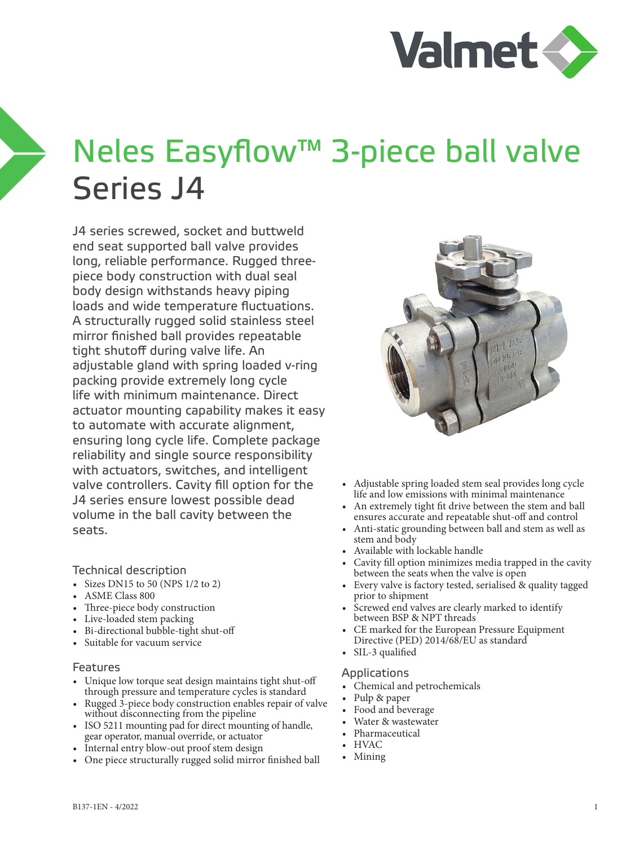

# Neles Easyflow™ 3-piece ball valve Series J4

J4 series screwed, socket and buttweld end seat supported ball valve provides long, reliable performance. Rugged threepiece body construction with dual seal body design withstands heavy piping loads and wide temperature fluctuations. A structurally rugged solid stainless steel mirror finished ball provides repeatable tight shutoff during valve life. An adjustable gland with spring loaded v-ring packing provide extremely long cycle life with minimum maintenance. Direct actuator mounting capability makes it easy to automate with accurate alignment, ensuring long cycle life. Complete package reliability and single source responsibility with actuators, switches, and intelligent valve controllers. Cavity fill option for the J4 series ensure lowest possible dead volume in the ball cavity between the seats.

Technical description

- Sizes DN15 to 50 (NPS  $1/2$  to 2)
- ASME Class 800
- Three-piece body construction
- Live-loaded stem packing
- Bi-directional bubble-tight shut-off
- Suitable for vacuum service

#### Features

- Unique low torque seat design maintains tight shut-off through pressure and temperature cycles is standard
- Rugged 3-piece body construction enables repair of valve without disconnecting from the pipeline
- ISO 5211 mounting pad for direct mounting of handle, gear operator, manual override, or actuator
- Internal entry blow-out proof stem design
- One piece structurally rugged solid mirror finished ball



- Adjustable spring loaded stem seal provides long cycle life and low emissions with minimal maintenance
- An extremely tight fit drive between the stem and ball ensures accurate and repeatable shut-off and control
- Anti-static grounding between ball and stem as well as stem and body
- Available with lockable handle
- Cavity fill option minimizes media trapped in the cavity between the seats when the valve is open
- Every valve is factory tested, serialised & quality tagged prior to shipment
- Screwed end valves are clearly marked to identify between BSP & NPT threads
- CE marked for the European Pressure Equipment Directive (PED) 2014/68/EU as standard
- SIL-3 qualified

#### Applications

- Chemical and petrochemicals
- Pulp & paper
- Food and beverage
- Water & wastewater
- Pharmaceutical
- HVAC
- Mining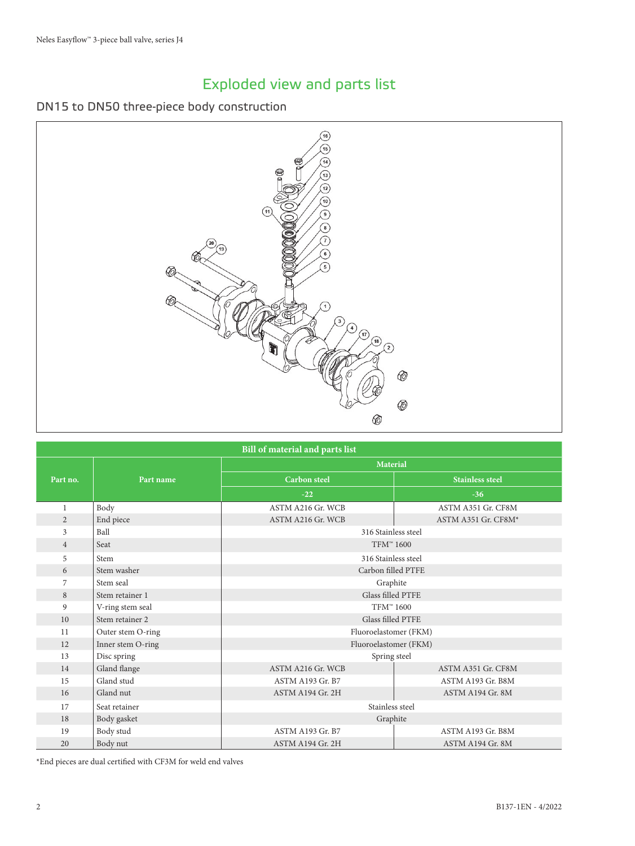# Exploded view and parts list

#### DN15 to DN50 three-piece body construction



| <b>Bill of material and parts list</b> |                   |                          |                        |  |  |  |  |  |  |  |  |
|----------------------------------------|-------------------|--------------------------|------------------------|--|--|--|--|--|--|--|--|
|                                        |                   | <b>Material</b>          |                        |  |  |  |  |  |  |  |  |
| Part no.                               | Part name         | <b>Carbon</b> steel      | <b>Stainless steel</b> |  |  |  |  |  |  |  |  |
|                                        |                   | $-22$                    | $-36$                  |  |  |  |  |  |  |  |  |
| $\mathbf{1}$                           | Body              | ASTM A216 Gr. WCB        | ASTM A351 Gr. CF8M     |  |  |  |  |  |  |  |  |
| $\overline{2}$                         | End piece         | ASTM A216 Gr. WCB        | ASTM A351 Gr. CF8M*    |  |  |  |  |  |  |  |  |
| 3                                      | Ball              | 316 Stainless steel      |                        |  |  |  |  |  |  |  |  |
| $\overline{4}$                         | Seat              | TFM™ 1600                |                        |  |  |  |  |  |  |  |  |
| 5                                      | Stem              | 316 Stainless steel      |                        |  |  |  |  |  |  |  |  |
| 6                                      | Stem washer       | Carbon filled PTFE       |                        |  |  |  |  |  |  |  |  |
| 7                                      | Stem seal         | Graphite                 |                        |  |  |  |  |  |  |  |  |
| 8                                      | Stem retainer 1   | <b>Glass filled PTFE</b> |                        |  |  |  |  |  |  |  |  |
| 9                                      | V-ring stem seal  | TFM™ 1600                |                        |  |  |  |  |  |  |  |  |
| 10                                     | Stem retainer 2   | Glass filled PTFE        |                        |  |  |  |  |  |  |  |  |
| 11                                     | Outer stem O-ring | Fluoroelastomer (FKM)    |                        |  |  |  |  |  |  |  |  |
| 12                                     | Inner stem O-ring | Fluoroelastomer (FKM)    |                        |  |  |  |  |  |  |  |  |
| 13                                     | Disc spring       | Spring steel             |                        |  |  |  |  |  |  |  |  |
| 14                                     | Gland flange      | ASTM A216 Gr. WCB        | ASTM A351 Gr. CF8M     |  |  |  |  |  |  |  |  |
| 15                                     | Gland stud        | ASTM A193 Gr. B7         | ASTM A193 Gr. B8M      |  |  |  |  |  |  |  |  |
| 16                                     | Gland nut         | ASTM A194 Gr. 2H         | ASTM A194 Gr. 8M       |  |  |  |  |  |  |  |  |
| 17                                     | Seat retainer     | Stainless steel          |                        |  |  |  |  |  |  |  |  |
| 18                                     | Body gasket       | Graphite                 |                        |  |  |  |  |  |  |  |  |
| 19                                     | Body stud         | <b>ASTM A193 Gr. B7</b>  | ASTM A193 Gr. B8M      |  |  |  |  |  |  |  |  |
| 20                                     | Body nut          | ASTM A194 Gr. 2H         | ASTM A194 Gr. 8M       |  |  |  |  |  |  |  |  |

\*End pieces are dual certified with CF3M for weld end valves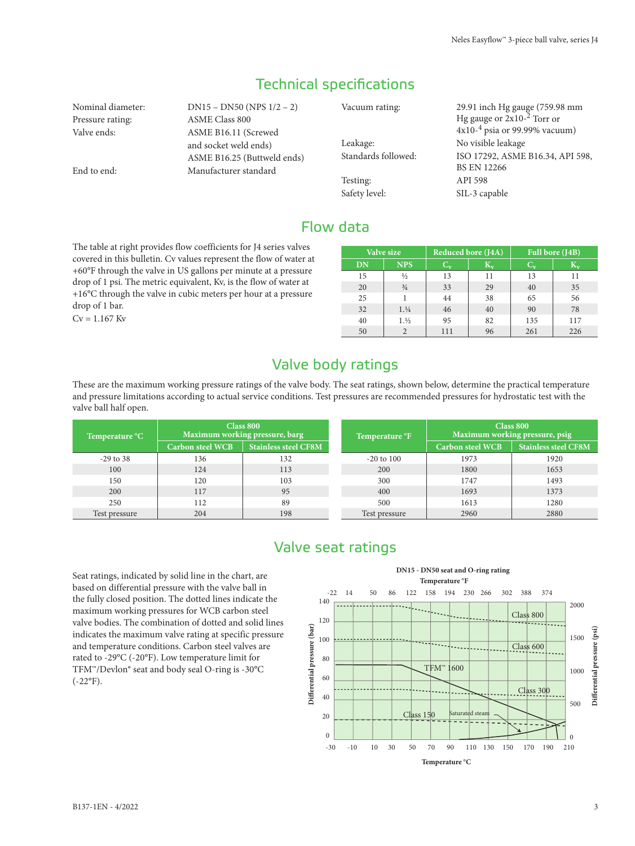## Technical specifications

Nominal diameter: DN15 – DN50 (NPS 1/2 – 2) Pressure rating: ASME Class 800 Valve ends: ASME B16.11 (Screwed and socket weld ends) ASME B16.25 (Buttweld ends) End to end: Manufacturer standard Vacuum rating: 29.91 inch Hg gauge (759.98 mm Hg gauge or 2x10-<sup>2</sup> Torr or 4x10-<sup>4</sup> psia or 99.99% vacuum) Leakage: No visible leakage Standards followed: ISO 17292, ASME B16.34, API 598, BS EN 12266 Testing: API 598 Safety level: SIL-3 capable

### Flow data

The table at right provides flow coefficients for J4 series valves covered in this bulletin. Cv values represent the flow of water at +60°F through the valve in US gallons per minute at a pressure drop of 1 psi. The metric equivalent, Kv, is the flow of water at +16°C through the valve in cubic meters per hour at a pressure drop of 1 bar.

 $Cv = 1.167$  Kv

|    | Valve size    | Reduced bore (J4A) |     | Full bore (J4B) |                 |  |  |  |
|----|---------------|--------------------|-----|-----------------|-----------------|--|--|--|
| DN | <b>NPS</b>    | $\mathbf{C_v}$     | К., | <b>TO</b>       | $\rm K_{\rm v}$ |  |  |  |
| 15 | $\frac{1}{2}$ | 13                 | 11  | 13              | 11              |  |  |  |
| 20 | $\frac{3}{4}$ | 33                 | 29  | 40              | 35              |  |  |  |
| 25 |               | 44                 | 38  | 65              | 56              |  |  |  |
| 32 | 1.1/4         | 46                 | 40  | 90              | 78              |  |  |  |
| 40 | 1.1/2         | 95                 | 82  | 135             | 117             |  |  |  |
| 50 |               | 111                | 96  | 261             | 226             |  |  |  |

#### Valve body ratings

These are the maximum working pressure ratings of the valve body. The seat ratings, shown below, determine the practical temperature and pressure limitations according to actual service conditions. Test pressures are recommended pressures for hydrostatic test with the valve ball half open.

| Temperature °C |                         | Class 800<br>Maximum working pressure, barg | Temperature <sup>o</sup> F | Class 800<br>Maximum working pressure, psig |                             |  |  |  |
|----------------|-------------------------|---------------------------------------------|----------------------------|---------------------------------------------|-----------------------------|--|--|--|
|                | <b>Carbon steel WCB</b> | <b>Stainless steel CF8M</b>                 |                            | <b>Carbon steel WCB</b>                     | <b>Stainless steel CF8M</b> |  |  |  |
| $-29$ to 38    | 136                     | 132                                         | $-20$ to $100$             | 1973                                        | 1920                        |  |  |  |
| 100            | 124                     | 113                                         | 200                        | 1800                                        | 1653                        |  |  |  |
| 150            | 120                     | 103                                         | 300                        | 1747                                        | 1493                        |  |  |  |
| 200            | 117                     | 95                                          | 400                        | 1693                                        | 1373                        |  |  |  |
| 250            | 112                     | 89                                          | 500                        | 1613                                        | 1280                        |  |  |  |
| Test pressure  | 204                     | 198                                         | Test pressure              | 2960                                        | 2880                        |  |  |  |

#### Valve seat ratings

Seat ratings, indicated by solid line in the chart, are based on differential pressure with the valve ball in the fully closed position. The dotted lines indicate the maximum working pressures for WCB carbon steel valve bodies. The combination of dotted and solid lines indicates the maximum valve rating at specific pressure and temperature conditions. Carbon steel valves are rated to -29°C (-20°F). Low temperature limit for TFM™/Devlon® seat and body seal O-ring is -30°C  $(-22^{\circ}F)$ .

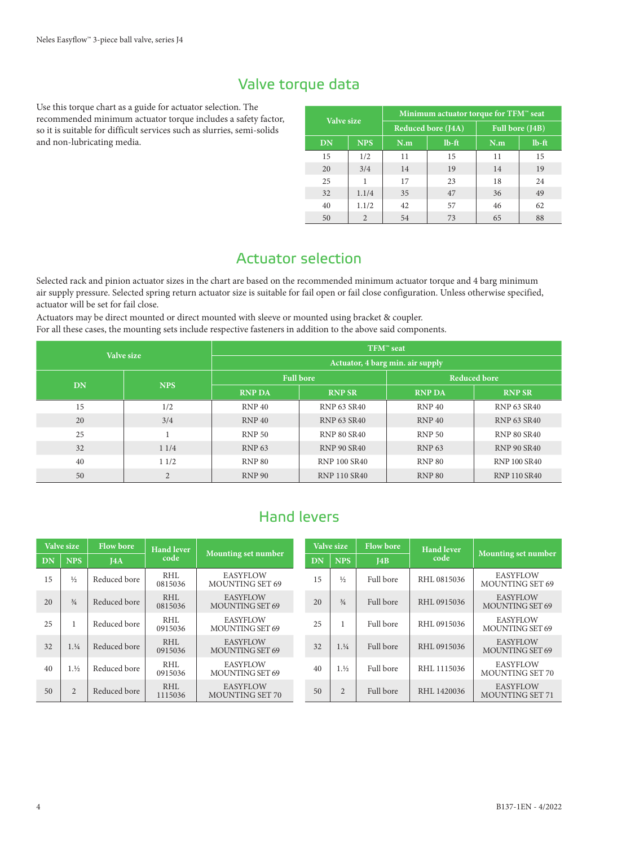### Valve torque data

Use this torque chart as a guide for actuator selection. The recommended minimum actuator torque includes a safety factor, so it is suitable for difficult services such as slurries, semi-solids and non-lubricating media.

|            |                | Minimum actuator torque for TFM <sup>®</sup> seat |                           |                 |          |  |  |  |  |  |
|------------|----------------|---------------------------------------------------|---------------------------|-----------------|----------|--|--|--|--|--|
| Valve size |                |                                                   | <b>Reduced bore (J4A)</b> | Full bore (J4B) |          |  |  |  |  |  |
| DN         | <b>NPS</b>     | N.m                                               | $lb$ -ft                  | N.m             | $lb$ -ft |  |  |  |  |  |
| 15         | 1/2            | 11                                                | 15                        | 11              | 15       |  |  |  |  |  |
| 20         | 3/4            | 14                                                | 19                        | 14              | 19       |  |  |  |  |  |
| 25         | 1              | 17                                                | 23                        | 18              | 24       |  |  |  |  |  |
| 32         | 1.1/4          | 35                                                | 47                        | 36              | 49       |  |  |  |  |  |
| 40         | 1.1/2          | 42                                                | 57                        | 46              | 62       |  |  |  |  |  |
| 50         | $\overline{2}$ |                                                   | 73                        | 65              | 88       |  |  |  |  |  |

# Actuator selection

Selected rack and pinion actuator sizes in the chart are based on the recommended minimum actuator torque and 4 barg minimum air supply pressure. Selected spring return actuator size is suitable for fail open or fail close configuration. Unless otherwise specified, actuator will be set for fail close.

Actuators may be direct mounted or direct mounted with sleeve or mounted using bracket & coupler. For all these cases, the mounting sets include respective fasteners in addition to the above said components.

|           | Valve size     | TFM™ seat                        |                     |               |                     |  |  |  |  |  |
|-----------|----------------|----------------------------------|---------------------|---------------|---------------------|--|--|--|--|--|
|           |                | Actuator, 4 barg min. air supply |                     |               |                     |  |  |  |  |  |
| <b>DN</b> | <b>NPS</b>     |                                  | <b>Full bore</b>    |               | <b>Reduced bore</b> |  |  |  |  |  |
|           |                | <b>RNP DA</b>                    | <b>RNP SR</b>       | <b>RNP DA</b> | <b>RNP SR</b>       |  |  |  |  |  |
| 15        | 1/2            | RNP 40                           | <b>RNP 63 SR40</b>  | RNP 40        | <b>RNP 63 SR40</b>  |  |  |  |  |  |
| 20        | 3/4            | RNP 40                           | <b>RNP 63 SR40</b>  | <b>RNP 40</b> | <b>RNP 63 SR40</b>  |  |  |  |  |  |
| 25        |                | <b>RNP 50</b>                    | <b>RNP 80 SR40</b>  | <b>RNP 50</b> | <b>RNP 80 SR40</b>  |  |  |  |  |  |
| 32        | 11/4           | <b>RNP 63</b>                    | <b>RNP 90 SR40</b>  | <b>RNP 63</b> | <b>RNP 90 SR40</b>  |  |  |  |  |  |
| 40        | 11/2           | <b>RNP 80</b>                    | <b>RNP 100 SR40</b> | <b>RNP 80</b> | <b>RNP 100 SR40</b> |  |  |  |  |  |
| 50        | $\overline{2}$ | <b>RNP 90</b>                    | <b>RNP 110 SR40</b> | <b>RNP 80</b> | <b>RNP 110 SR40</b> |  |  |  |  |  |

# Hand levers

|    | <b>Flow bore</b><br>Valve size |              | <b>Hand lever</b> |                                           |    | Valve size     | <b>Flow bore</b> | <b>Hand lever</b> |                                           |
|----|--------------------------------|--------------|-------------------|-------------------------------------------|----|----------------|------------------|-------------------|-------------------------------------------|
| DN | <b>NPS</b>                     | IAA          | code              | Mounting set number                       | DN | <b>NPS</b>     | J4B              | code              | Mounting set number                       |
| 15 | $\frac{1}{2}$                  | Reduced bore | RHL<br>0815036    | <b>EASYFLOW</b><br>MOUNTING SET 69        | 15 | $\frac{1}{2}$  | Full bore        | RHL0815036        | EASYFLOW<br>MOUNTING SET 69               |
| 20 | $^{3/4}$                       | Reduced bore | RHL<br>0815036    | <b>EASYFLOW</b><br>MOUNTING SET 69        | 20 | $\frac{3}{4}$  | Full bore        | RHL0915036        | <b>EASYFLOW</b><br>MOUNTING SET 69        |
| 25 |                                | Reduced bore | RHL<br>0915036    | <b>EASYFLOW</b><br>MOUNTING SET 69        | 25 |                | Full bore        | RHL 0915036       | <b>EASYFLOW</b><br>MOUNTING SET 69        |
| 32 | 1.1/4                          | Reduced bore | RHL<br>0915036    | <b>EASYFLOW</b><br>MOUNTING SET 69        | 32 | 1.1/4          | Full bore        | RHL0915036        | <b>EASYFLOW</b><br><b>MOUNTING SET 69</b> |
| 40 | 1.1/2                          | Reduced bore | RHL<br>0915036    | <b>EASYFLOW</b><br>MOUNTING SET 69        | 40 | 1.1/2          | Full bore        | RHL 1115036       | <b>EASYFLOW</b><br><b>MOUNTING SET 70</b> |
| 50 | $\overline{2}$                 | Reduced bore | RHL<br>1115036    | <b>EASYFLOW</b><br><b>MOUNTING SET 70</b> | 50 | $\overline{2}$ | Full bore        | RHL 1420036       | <b>EASYFLOW</b><br><b>MOUNTING SET 71</b> |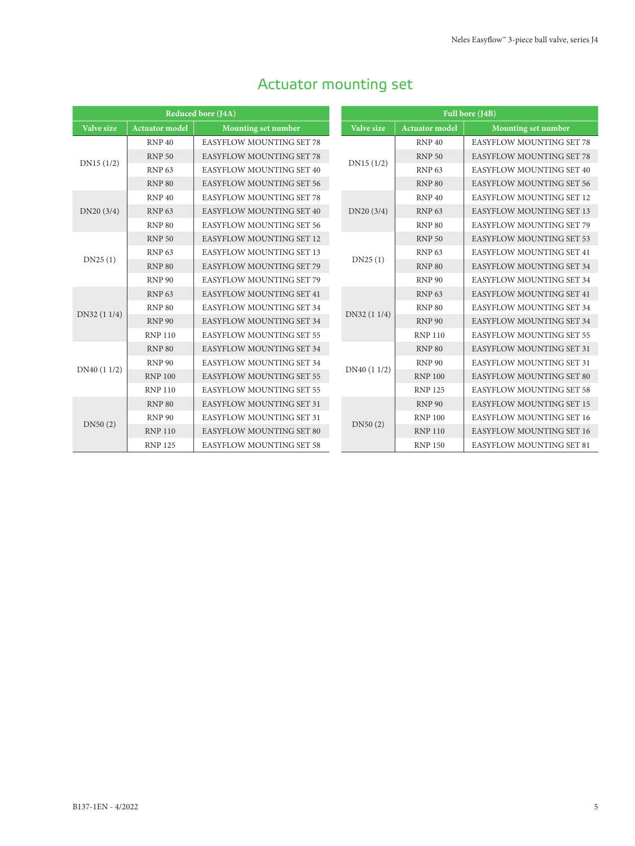|                   |                       | <b>Reduced bore (J4A)</b>       |  |                  |  |  |
|-------------------|-----------------------|---------------------------------|--|------------------|--|--|
| <b>Valve size</b> | <b>Actuator</b> model | <b>Mounting set number</b>      |  | <b>Valve</b>     |  |  |
|                   | RNP <sub>40</sub>     | <b>EASYFLOW MOUNTING SET 78</b> |  |                  |  |  |
| DN15(1/2)         | <b>RNP 50</b>         | <b>EASYFLOW MOUNTING SET 78</b> |  | <b>DN15</b>      |  |  |
|                   | <b>RNP 63</b>         | <b>EASYFLOW MOUNTING SET 40</b> |  |                  |  |  |
|                   | <b>RNP 80</b>         | <b>EASYFLOW MOUNTING SET 56</b> |  |                  |  |  |
|                   | <b>RNP 40</b>         | <b>EASYFLOW MOUNTING SET 78</b> |  |                  |  |  |
| DN20(3/4)         | <b>RNP 63</b>         | <b>EASYFLOW MOUNTING SET 40</b> |  | DN20             |  |  |
|                   | <b>RNP 80</b>         | <b>EASYFLOW MOUNTING SET 56</b> |  |                  |  |  |
|                   | <b>RNP 50</b>         | <b>EASYFLOW MOUNTING SET 12</b> |  |                  |  |  |
| DN25(1)           | <b>RNP 63</b>         | <b>EASYFLOW MOUNTING SET 13</b> |  | DN <sub>25</sub> |  |  |
|                   | <b>RNP 80</b>         | <b>EASYFLOW MOUNTING SET 79</b> |  |                  |  |  |
|                   | <b>RNP 90</b>         | <b>EASYFLOW MOUNTING SET 79</b> |  |                  |  |  |
|                   | <b>RNP 63</b>         | <b>EASYFLOW MOUNTING SET 41</b> |  |                  |  |  |
| DN32 (1 1/4)      | <b>RNP 80</b>         | <b>EASYFLOW MOUNTING SET 34</b> |  | DN32 (           |  |  |
|                   | <b>RNP 90</b>         | <b>EASYFLOW MOUNTING SET 34</b> |  |                  |  |  |
|                   | <b>RNP 110</b>        | <b>EASYFLOW MOUNTING SET 55</b> |  |                  |  |  |
|                   | <b>RNP 80</b>         | <b>EASYFLOW MOUNTING SET 34</b> |  |                  |  |  |
| DN40 (1 1/2)      | <b>RNP 90</b>         | <b>EASYFLOW MOUNTING SET 34</b> |  | DN40 (           |  |  |
|                   | <b>RNP 100</b>        | <b>EASYFLOW MOUNTING SET 55</b> |  |                  |  |  |
|                   | <b>RNP 110</b>        | <b>EASYFLOW MOUNTING SET 55</b> |  |                  |  |  |
|                   | <b>RNP 80</b>         | <b>EASYFLOW MOUNTING SET 31</b> |  |                  |  |  |
| DN50(2)           | <b>RNP 90</b>         | <b>EASYFLOW MOUNTING SET 31</b> |  | DN <sub>50</sub> |  |  |
|                   | <b>RNP 110</b>        | <b>EASYFLOW MOUNTING SET 80</b> |  |                  |  |  |
|                   | <b>RNP 125</b>        | <b>EASYFLOW MOUNTING SET 58</b> |  |                  |  |  |

# Actuator mounting set

|                   |                       | Full bore (J4B)                 |
|-------------------|-----------------------|---------------------------------|
| <b>Valve size</b> | <b>Actuator model</b> | Mounting set number             |
|                   | RNP 40                | <b>EASYFLOW MOUNTING SET 78</b> |
|                   | <b>RNP 50</b>         | <b>EASYFLOW MOUNTING SET 78</b> |
| DN15(1/2)         | <b>RNP 63</b>         | <b>EASYFLOW MOUNTING SET 40</b> |
|                   | <b>RNP 80</b>         | <b>EASYFLOW MOUNTING SET 56</b> |
|                   | RNP 40                | <b>EASYFLOW MOUNTING SET 12</b> |
| DN20 (3/4)        | <b>RNP 63</b>         | <b>EASYFLOW MOUNTING SET 13</b> |
|                   | <b>RNP 80</b>         | <b>EASYFLOW MOUNTING SET 79</b> |
|                   | <b>RNP 50</b>         | <b>EASYFLOW MOUNTING SET 53</b> |
| DN25(1)           | <b>RNP 63</b>         | <b>EASYFLOW MOUNTING SET 41</b> |
|                   | <b>RNP 80</b>         | <b>EASYFLOW MOUNTING SET 34</b> |
|                   | <b>RNP 90</b>         | <b>EASYFLOW MOUNTING SET 34</b> |
|                   | <b>RNP 63</b>         | <b>EASYFLOW MOUNTING SET 41</b> |
| DN32 (1 1/4)      | <b>RNP 80</b>         | <b>EASYFLOW MOUNTING SET 34</b> |
|                   | <b>RNP 90</b>         | <b>EASYFLOW MOUNTING SET 34</b> |
|                   | <b>RNP110</b>         | <b>EASYFLOW MOUNTING SET 55</b> |
|                   | <b>RNP 80</b>         | <b>EASYFLOW MOUNTING SET 31</b> |
| DN40 (1 1/2)      | <b>RNP 90</b>         | <b>EASYFLOW MOUNTING SET 31</b> |
|                   | <b>RNP 100</b>        | <b>EASYFLOW MOUNTING SET 80</b> |
|                   | <b>RNP125</b>         | <b>EASYFLOW MOUNTING SET 58</b> |
|                   | <b>RNP 90</b>         | <b>EASYFLOW MOUNTING SET 15</b> |
| DN50(2)           | <b>RNP 100</b>        | <b>EASYFLOW MOUNTING SET 16</b> |
|                   | <b>RNP 110</b>        | <b>EASYFLOW MOUNTING SET 16</b> |
|                   | <b>RNP 150</b>        | <b>EASYFLOW MOUNTING SET 81</b> |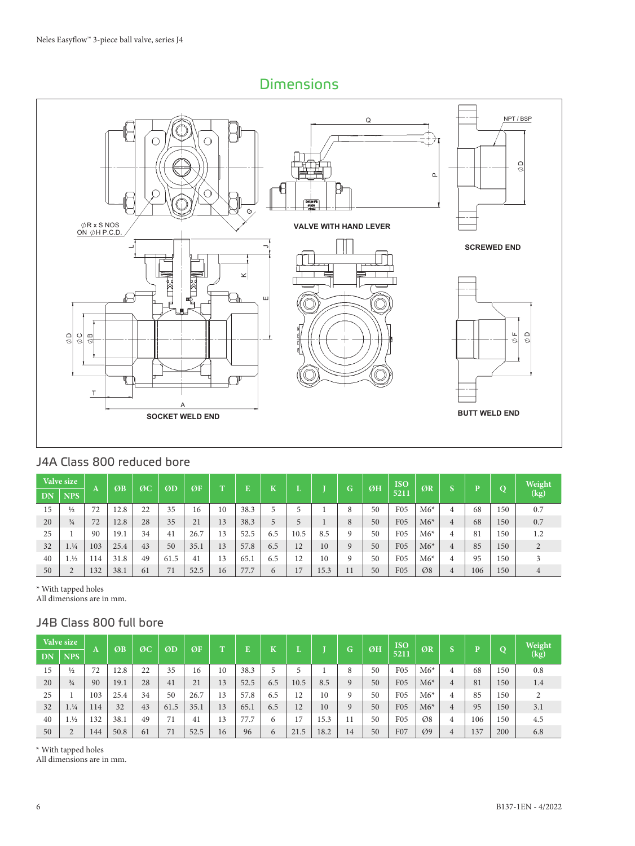#### Dimensions



#### J4A Class 800 reduced bore

|    | Valve size    |     | ØB   | ØC | ØD   | ØF   | т  | Ē    |            |      |      | G. | ØH | <b>ISO</b>      | ØR    |          | D   | $\Omega$ | Weight |
|----|---------------|-----|------|----|------|------|----|------|------------|------|------|----|----|-----------------|-------|----------|-----|----------|--------|
| DN | <b>NPS</b>    | A   |      |    |      |      |    |      | N          |      |      |    |    | 5211            |       | <b>D</b> |     |          | (kg)   |
| 15 | $\frac{1}{2}$ | 72  | 12.8 | 22 | 35   | 16   | 10 | 38.3 |            |      |      | 8  | 50 | F <sub>05</sub> | $M6*$ | 4        | 68  | 150      | 0.7    |
| 20 | $\frac{3}{4}$ | 72  | 12.8 | 28 | 35   | 21   | 13 | 38.3 | 5          |      |      | 8  | 50 | F05             | $M6*$ | 4        | 68  | 150      | 0.7    |
| 25 |               | 90  | 19.1 | 34 | 41   | 26.7 | 13 | 52.5 | 6.5        | 10.5 | 8.5  | 9  | 50 | F <sub>05</sub> | $M6*$ | 4        | 81  | 150      | 1.2    |
| 32 | 1.1/4         | 103 | 25.4 | 43 | 50   | 35.1 | 13 | 57.8 | 6.5        | 12   | 10   | 9  | 50 | <b>F05</b>      | $M6*$ | 4        | 85  | 150      |        |
| 40 | 1.1/2         | 114 | 31.8 | 49 | 61.5 | 41   | 13 | 65.1 | 6.5        | 12   | 10   | 9  | 50 | F <sub>05</sub> | $M6*$ | 4        | 95  | 150      |        |
| 50 |               | 132 | 38.1 | 61 |      | 52.5 | 16 | 77.7 | $\epsilon$ | 17   | 15.3 | 11 | 50 | F <sub>05</sub> | Ø8    | 4        | 106 | 150      | 4      |

\* With tapped holes

All dimensions are in mm.

#### J4B Class 800 full bore

|           | <b>Valve size</b> |     | ØB   | ØC | ØD   | ØF   | $\mathbf{T}$ | E    | T        |      |      | G. | ØH | <b>ISO</b>      | ØR              | $\sqrt{2}$ | $\overline{\mathbf{D}}$ | $\Omega$ | Weight |
|-----------|-------------------|-----|------|----|------|------|--------------|------|----------|------|------|----|----|-----------------|-----------------|------------|-------------------------|----------|--------|
| <b>DN</b> | <b>NPS</b>        | Α   |      |    |      |      |              |      | N        |      |      |    |    | 5211            |                 |            |                         |          | (kg)   |
| 15        | $\frac{1}{2}$     | 72  | 12.8 | 22 | 35   | 16   | 10           | 38.3 | 5        | 5    |      | 8  | 50 | F <sub>05</sub> | $M6*$           | 4          | 68                      | 150      | 0.8    |
| 20        | $\frac{3}{4}$     | 90  | 19.1 | 28 | 41   | 21   | 13           | 52.5 | 6.5      | 10.5 | 8.5  | 9  | 50 | F <sub>05</sub> | $M6*$           | 4          | 81                      | 150      | 1.4    |
| 25        |                   | 103 | 25.4 | 34 | 50   | 26.7 | 13           | 57.8 | 6.5      | 12   | 10   | 9  | 50 | F <sub>05</sub> | $M6*$           |            | 85                      | 150      |        |
| 32        | 1.1/4             | 114 | 32   | 43 | 61.5 | 35.1 | 13           | 65.1 | 6.5      | 12   | 10   | 9  | 50 | <b>F05</b>      | $M6*$           | 4          | 95                      | 150      | 3.1    |
| 40        | 1.1/2             | 132 | 38.1 | 49 | 71   | 41   | 13           | 77.7 | 6        | 17   | 15.3 |    | 50 | F <sub>05</sub> | Ø8              | 4          | 106                     | 150      | 4.5    |
| 50        |                   | 144 | 50.8 | 61 | 71   | 52.5 | 16           | 96   | $\sigma$ | 21.5 | 18.2 | 14 | 50 | F07             | $\varnothing$ 9 | 4          | 137                     | 200      | 6.8    |

\* With tapped holes

All dimensions are in mm.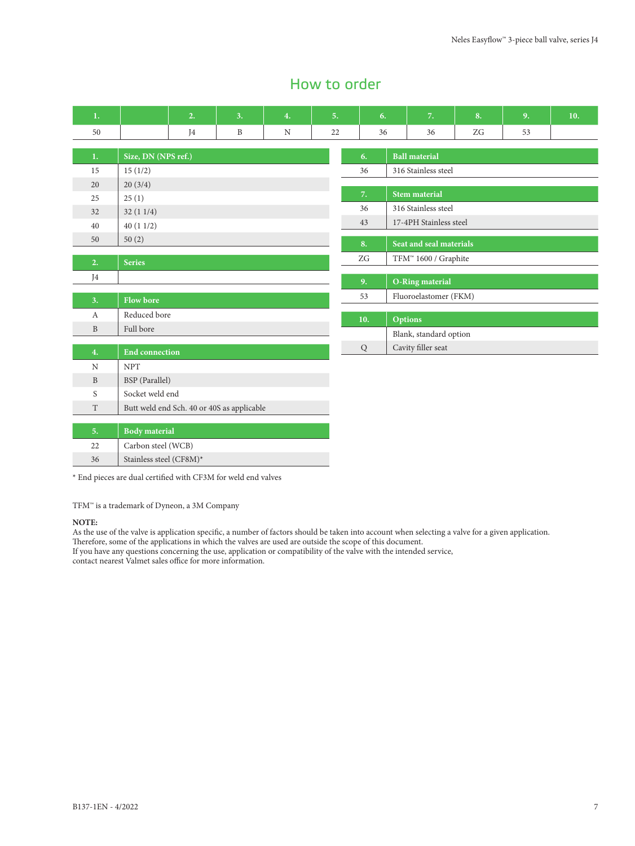#### How to order

| 1.           |                         | 2. | 3.                                         | 4. | 5. | 6.             |                                  | 7.                      | 8. | 9. | 10. |  |  |
|--------------|-------------------------|----|--------------------------------------------|----|----|----------------|----------------------------------|-------------------------|----|----|-----|--|--|
| 50           |                         | J4 | $\, {\bf B}$                               | N  | 22 | 36             | 36                               |                         | ZG | 53 |     |  |  |
| 1.           | Size, DN (NPS ref.)     |    |                                            |    |    | 6.             | <b>Ball material</b>             |                         |    |    |     |  |  |
| 15           | 15(1/2)                 |    |                                            |    |    | 36             |                                  | 316 Stainless steel     |    |    |     |  |  |
| 20           | 20(3/4)                 |    |                                            |    |    |                |                                  |                         |    |    |     |  |  |
| 25           | 25(1)                   |    |                                            |    |    | 7.             |                                  | <b>Stem material</b>    |    |    |     |  |  |
| 32           | 32(11/4)                |    |                                            |    |    | 36             |                                  | 316 Stainless steel     |    |    |     |  |  |
| 40           | 40(11/2)                |    |                                            |    |    | 43             |                                  | 17-4PH Stainless steel  |    |    |     |  |  |
| 50           | 50(2)                   |    |                                            |    |    |                |                                  |                         |    |    |     |  |  |
|              |                         |    |                                            |    |    | 8.             |                                  | Seat and seal materials |    |    |     |  |  |
| 2.           | <b>Series</b>           |    |                                            |    |    | ZG             | TFM <sup>™</sup> 1600 / Graphite |                         |    |    |     |  |  |
| J4           |                         |    |                                            |    |    | 9 <sub>r</sub> |                                  | O-Ring material         |    |    |     |  |  |
|              |                         |    |                                            |    |    | 53             |                                  | Fluoroelastomer (FKM)   |    |    |     |  |  |
| 3.           | <b>Flow bore</b>        |    |                                            |    |    |                |                                  |                         |    |    |     |  |  |
| $\mathbf{A}$ | Reduced bore            |    |                                            |    |    | 10.            | <b>Options</b>                   |                         |    |    |     |  |  |
| B            | Full bore               |    |                                            |    |    |                | Blank, standard option           |                         |    |    |     |  |  |
| 4.           | <b>End connection</b>   |    |                                            |    |    | ${\bf Q}$      | Cavity filler seat               |                         |    |    |     |  |  |
| $\mathbf N$  | <b>NPT</b>              |    |                                            |    |    |                |                                  |                         |    |    |     |  |  |
| $\, {\bf B}$ | BSP (Parallel)          |    |                                            |    |    |                |                                  |                         |    |    |     |  |  |
| S            | Socket weld end         |    |                                            |    |    |                |                                  |                         |    |    |     |  |  |
| T            |                         |    | Butt weld end Sch. 40 or 40S as applicable |    |    |                |                                  |                         |    |    |     |  |  |
|              |                         |    |                                            |    |    |                |                                  |                         |    |    |     |  |  |
| 5.           | <b>Body</b> material    |    |                                            |    |    |                |                                  |                         |    |    |     |  |  |
| 22           | Carbon steel (WCB)      |    |                                            |    |    |                |                                  |                         |    |    |     |  |  |
| 36           | Stainless steel (CF8M)* |    |                                            |    |    |                |                                  |                         |    |    |     |  |  |

 $^\star$  End pieces are dual certified with CF3M for weld end valves

TFM™ is a trademark of Dyneon, a 3M Company

#### **NOTE:**

As the use of the valve is application specific, a number of factors should be taken into account when selecting a valve for a given application.

Therefore, some of the applications in which the valves are used are outside the scope of this document.

If you have any questions concerning the use, application or compatibility of the valve with the intended service,

contact nearest Valmet sales office for more information.